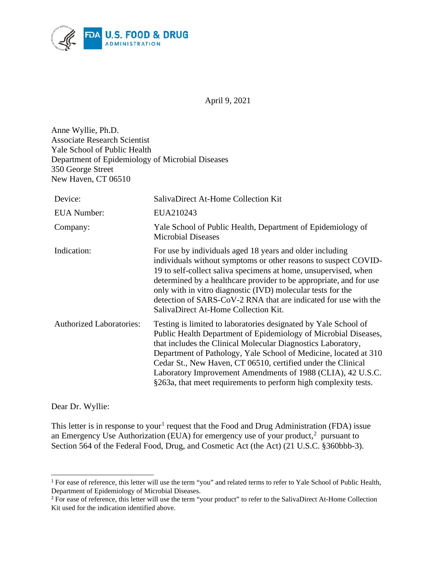

April 9, 2021

Anne Wyllie, Ph.D. Associate Research Scientist Yale School of Public Health Department of Epidemiology of Microbial Diseases 350 George Street New Haven, CT 06510

| Device:                         | SalivaDirect At-Home Collection Kit                                                                                                                                                                                                                                                                                                                                                                                                                                      |
|---------------------------------|--------------------------------------------------------------------------------------------------------------------------------------------------------------------------------------------------------------------------------------------------------------------------------------------------------------------------------------------------------------------------------------------------------------------------------------------------------------------------|
| <b>EUA Number:</b>              | EUA210243                                                                                                                                                                                                                                                                                                                                                                                                                                                                |
| Company:                        | Yale School of Public Health, Department of Epidemiology of<br><b>Microbial Diseases</b>                                                                                                                                                                                                                                                                                                                                                                                 |
| Indication:                     | For use by individuals aged 18 years and older including<br>individuals without symptoms or other reasons to suspect COVID-<br>19 to self-collect saliva specimens at home, unsupervised, when<br>determined by a healthcare provider to be appropriate, and for use<br>only with in vitro diagnostic (IVD) molecular tests for the<br>detection of SARS-CoV-2 RNA that are indicated for use with the<br>SalivaDirect At-Home Collection Kit.                           |
| <b>Authorized Laboratories:</b> | Testing is limited to laboratories designated by Yale School of<br>Public Health Department of Epidemiology of Microbial Diseases,<br>that includes the Clinical Molecular Diagnostics Laboratory,<br>Department of Pathology, Yale School of Medicine, located at 310<br>Cedar St., New Haven, CT 06510, certified under the Clinical<br>Laboratory Improvement Amendments of 1988 (CLIA), 42 U.S.C.<br>§263a, that meet requirements to perform high complexity tests. |

Dear Dr. Wyllie:

This letter is in response to your<sup>[1](#page-0-0)</sup> request that the Food and Drug Administration (FDA) issue an Emergency Use Authorization (EUA) for emergency use of your product,<sup>[2](#page-0-1)</sup> pursuant to Section 564 of the Federal Food, Drug, and Cosmetic Act (the Act) (21 U.S.C. §360bbb-3).

<span id="page-0-0"></span><sup>&</sup>lt;sup>1</sup> For ease of reference, this letter will use the term "you" and related terms to refer to Yale School of Public Health, Department of Epidemiology of Microbial Diseases.

<span id="page-0-1"></span><sup>&</sup>lt;sup>2</sup> For ease of reference, this letter will use the term "your product" to refer to the SalivaDirect At-Home Collection Kit used for the indication identified above.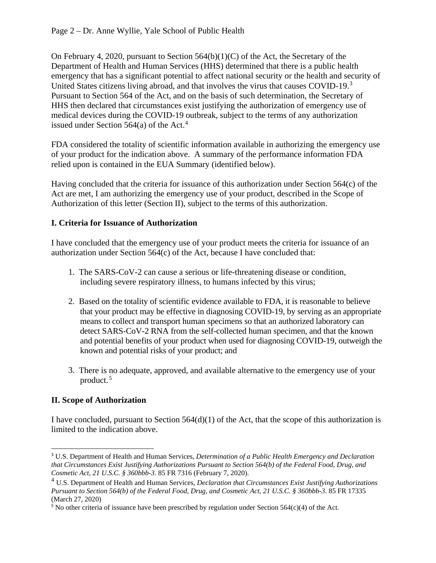On February 4, 2020, pursuant to Section  $564(b)(1)(C)$  of the Act, the Secretary of the Department of Health and Human Services (HHS) determined that there is a public health emergency that has a significant potential to affect national security or the health and security of United States citizens living abroad, and that involves the virus that causes COVID-19.<sup>[3](#page-1-0)</sup> Pursuant to Section 564 of the Act, and on the basis of such determination, the Secretary of HHS then declared that circumstances exist justifying the authorization of emergency use of medical devices during the COVID-19 outbreak, subject to the terms of any authorization issued under Section  $564(a)$  $564(a)$  $564(a)$  of the Act.<sup>4</sup>

FDA considered the totality of scientific information available in authorizing the emergency use of your product for the indication above. A summary of the performance information FDA relied upon is contained in the EUA Summary (identified below).

Having concluded that the criteria for issuance of this authorization under Section 564(c) of the Act are met, I am authorizing the emergency use of your product, described in the Scope of Authorization of this letter (Section II), subject to the terms of this authorization.

### **I. Criteria for Issuance of Authorization**

I have concluded that the emergency use of your product meets the criteria for issuance of an authorization under Section 564(c) of the Act, because I have concluded that:

- 1. The SARS-CoV-2 can cause a serious or life-threatening disease or condition, including severe respiratory illness, to humans infected by this virus;
- 2. Based on the totality of scientific evidence available to FDA, it is reasonable to believe that your product may be effective in diagnosing COVID-19, by serving as an appropriate means to collect and transport human specimens so that an authorized laboratory can detect SARS-CoV-2 RNA from the self-collected human specimen, and that the known and potential benefits of your product when used for diagnosing COVID-19, outweigh the known and potential risks of your product; and
- 3. There is no adequate, approved, and available alternative to the emergency use of your product. [5](#page-1-2)

# **II. Scope of Authorization**

I have concluded, pursuant to Section 564(d)(1) of the Act, that the scope of this authorization is limited to the indication above.

<span id="page-1-0"></span><sup>3</sup> U.S. Department of Health and Human Services, *Determination of a Public Health Emergency and Declaration that Circumstances Exist Justifying Authorizations Pursuant to Section 564(b) of the Federal Food, Drug, and Cosmetic Act, 21 U.S.C. § 360bbb-3.* 85 FR 7316 (February 7, 2020).

<span id="page-1-1"></span><sup>4</sup> U.S. Department of Health and Human Services, *Declaration that Circumstances Exist Justifying Authorizations Pursuant to Section 564(b) of the Federal Food, Drug, and Cosmetic Act, 21 U.S.C. § 360bbb-3*. 85 FR 17335 (March 27, 2020)

<span id="page-1-2"></span> $5$  No other criteria of issuance have been prescribed by regulation under Section 564(c)(4) of the Act.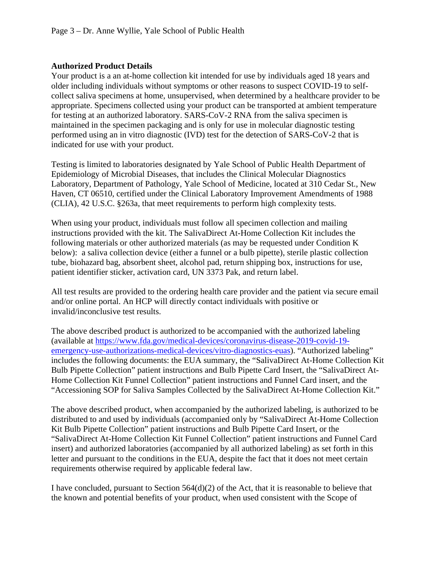#### **Authorized Product Details**

Your product is a an at-home collection kit intended for use by individuals aged 18 years and older including individuals without symptoms or other reasons to suspect COVID-19 to selfcollect saliva specimens at home, unsupervised, when determined by a healthcare provider to be appropriate. Specimens collected using your product can be transported at ambient temperature for testing at an authorized laboratory. SARS-CoV-2 RNA from the saliva specimen is maintained in the specimen packaging and is only for use in molecular diagnostic testing performed using an in vitro diagnostic (IVD) test for the detection of SARS-CoV-2 that is indicated for use with your product.

Testing is limited to laboratories designated by Yale School of Public Health Department of Epidemiology of Microbial Diseases, that includes the Clinical Molecular Diagnostics Laboratory, Department of Pathology, Yale School of Medicine, located at 310 Cedar St., New Haven, CT 06510, certified under the Clinical Laboratory Improvement Amendments of 1988 (CLIA), 42 U.S.C. §263a, that meet requirements to perform high complexity tests.

When using your product, individuals must follow all specimen collection and mailing instructions provided with the kit. The SalivaDirect At-Home Collection Kit includes the following materials or other authorized materials (as may be requested under Condition K below): a saliva collection device (either a funnel or a bulb pipette), sterile plastic collection tube, biohazard bag, absorbent sheet, alcohol pad, return shipping box, instructions for use, patient identifier sticker, activation card, UN 3373 Pak, and return label.

All test results are provided to the ordering health care provider and the patient via secure email and/or online portal. An HCP will directly contact individuals with positive or invalid/inconclusive test results.

The above described product is authorized to be accompanied with the authorized labeling (available at [https://www.fda.gov/medical-devices/coronavirus-disease-2019-covid-19](https://www.fda.gov/medical-devices/coronavirus-disease-2019-covid-19-emergency-use-authorizations-medical-devices/vitro-diagnostics-euas) [emergency-use-authorizations-medical-devices/vitro-diagnostics-euas\)](https://www.fda.gov/medical-devices/coronavirus-disease-2019-covid-19-emergency-use-authorizations-medical-devices/vitro-diagnostics-euas). "Authorized labeling" includes the following documents: the EUA summary, the "SalivaDirect At-Home Collection Kit Bulb Pipette Collection" patient instructions and Bulb Pipette Card Insert, the "SalivaDirect At-Home Collection Kit Funnel Collection" patient instructions and Funnel Card insert, and the "Accessioning SOP for Saliva Samples Collected by the SalivaDirect At-Home Collection Kit."

The above described product, when accompanied by the authorized labeling, is authorized to be distributed to and used by individuals (accompanied only by "SalivaDirect At-Home Collection Kit Bulb Pipette Collection" patient instructions and Bulb Pipette Card Insert, or the "SalivaDirect At-Home Collection Kit Funnel Collection" patient instructions and Funnel Card insert) and authorized laboratories (accompanied by all authorized labeling) as set forth in this letter and pursuant to the conditions in the EUA, despite the fact that it does not meet certain requirements otherwise required by applicable federal law.

I have concluded, pursuant to Section  $564(d)(2)$  of the Act, that it is reasonable to believe that the known and potential benefits of your product, when used consistent with the Scope of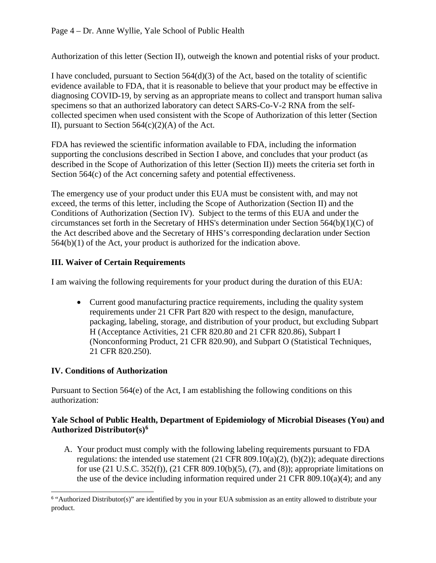Authorization of this letter (Section II), outweigh the known and potential risks of your product.

I have concluded, pursuant to Section  $564(d)(3)$  of the Act, based on the totality of scientific evidence available to FDA, that it is reasonable to believe that your product may be effective in diagnosing COVID-19, by serving as an appropriate means to collect and transport human saliva specimens so that an authorized laboratory can detect SARS-Co-V-2 RNA from the selfcollected specimen when used consistent with the Scope of Authorization of this letter (Section II), pursuant to Section  $564(c)(2)(A)$  of the Act.

FDA has reviewed the scientific information available to FDA, including the information supporting the conclusions described in Section I above, and concludes that your product (as described in the Scope of Authorization of this letter (Section II)) meets the criteria set forth in Section 564(c) of the Act concerning safety and potential effectiveness.

The emergency use of your product under this EUA must be consistent with, and may not exceed, the terms of this letter, including the Scope of Authorization (Section II) and the Conditions of Authorization (Section IV). Subject to the terms of this EUA and under the circumstances set forth in the Secretary of HHS's determination under Section 564(b)(1)(C) of the Act described above and the Secretary of HHS's corresponding declaration under Section 564(b)(1) of the Act, your product is authorized for the indication above.

### **III. Waiver of Certain Requirements**

I am waiving the following requirements for your product during the duration of this EUA:

• Current good manufacturing practice requirements, including the quality system requirements under 21 CFR Part 820 with respect to the design, manufacture, packaging, labeling, storage, and distribution of your product, but excluding Subpart H (Acceptance Activities, 21 CFR 820.80 and 21 CFR 820.86), Subpart I (Nonconforming Product, 21 CFR 820.90), and Subpart O (Statistical Techniques, 21 CFR 820.250).

#### **IV. Conditions of Authorization**

Pursuant to Section 564(e) of the Act, I am establishing the following conditions on this authorization:

#### **Yale School of Public Health, Department of Epidemiology of Microbial Diseases (You) and Authorized Distributor(s)[6](#page-3-0)**

A. Your product must comply with the following labeling requirements pursuant to FDA regulations: the intended use statement  $(21 \text{ CFR } 809.10(a)(2), (b)(2))$ ; adequate directions for use (21 U.S.C. 352(f)), (21 CFR 809.10(b)(5), (7), and (8)); appropriate limitations on the use of the device including information required under 21 CFR 809.10(a)(4); and any

<span id="page-3-0"></span><sup>&</sup>lt;sup>6</sup> "Authorized Distributor(s)" are identified by you in your EUA submission as an entity allowed to distribute your product.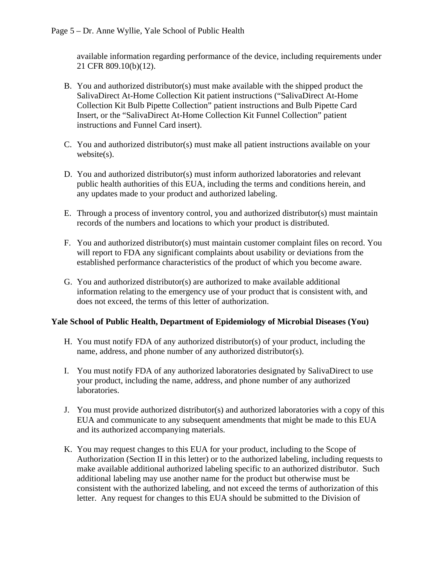available information regarding performance of the device, including requirements under 21 CFR 809.10(b)(12).

- B. You and authorized distributor(s) must make available with the shipped product the SalivaDirect At-Home Collection Kit patient instructions ("SalivaDirect At-Home Collection Kit Bulb Pipette Collection" patient instructions and Bulb Pipette Card Insert, or the "SalivaDirect At-Home Collection Kit Funnel Collection" patient instructions and Funnel Card insert).
- C. You and authorized distributor(s) must make all patient instructions available on your website(s).
- D. You and authorized distributor(s) must inform authorized laboratories and relevant public health authorities of this EUA, including the terms and conditions herein, and any updates made to your product and authorized labeling.
- E. Through a process of inventory control, you and authorized distributor(s) must maintain records of the numbers and locations to which your product is distributed.
- F. You and authorized distributor(s) must maintain customer complaint files on record. You will report to FDA any significant complaints about usability or deviations from the established performance characteristics of the product of which you become aware.
- G. You and authorized distributor(s) are authorized to make available additional information relating to the emergency use of your product that is consistent with, and does not exceed, the terms of this letter of authorization.

#### **Yale School of Public Health, Department of Epidemiology of Microbial Diseases (You)**

- H. You must notify FDA of any authorized distributor(s) of your product, including the name, address, and phone number of any authorized distributor(s).
- I. You must notify FDA of any authorized laboratories designated by SalivaDirect to use your product, including the name, address, and phone number of any authorized laboratories.
- J. You must provide authorized distributor(s) and authorized laboratories with a copy of this EUA and communicate to any subsequent amendments that might be made to this EUA and its authorized accompanying materials.
- K. You may request changes to this EUA for your product, including to the Scope of Authorization (Section II in this letter) or to the authorized labeling, including requests to make available additional authorized labeling specific to an authorized distributor. Such additional labeling may use another name for the product but otherwise must be consistent with the authorized labeling, and not exceed the terms of authorization of this letter. Any request for changes to this EUA should be submitted to the Division of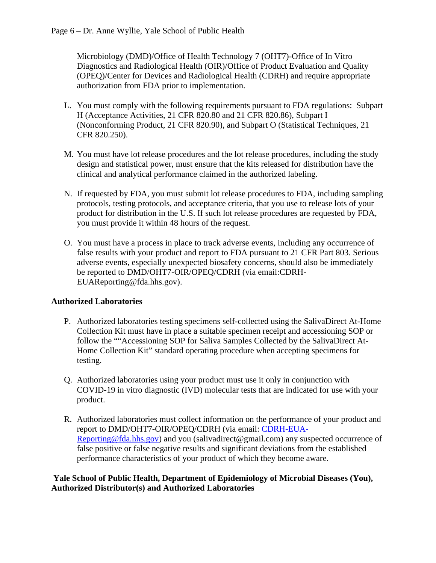Microbiology (DMD)/Office of Health Technology 7 (OHT7)-Office of In Vitro Diagnostics and Radiological Health (OIR)/Office of Product Evaluation and Quality (OPEQ)/Center for Devices and Radiological Health (CDRH) and require appropriate authorization from FDA prior to implementation.

- L. You must comply with the following requirements pursuant to FDA regulations: Subpart H (Acceptance Activities, 21 CFR 820.80 and 21 CFR 820.86), Subpart I (Nonconforming Product, 21 CFR 820.90), and Subpart O (Statistical Techniques, 21 CFR 820.250).
- M. You must have lot release procedures and the lot release procedures, including the study design and statistical power, must ensure that the kits released for distribution have the clinical and analytical performance claimed in the authorized labeling.
- N. If requested by FDA, you must submit lot release procedures to FDA, including sampling protocols, testing protocols, and acceptance criteria, that you use to release lots of your product for distribution in the U.S. If such lot release procedures are requested by FDA, you must provide it within 48 hours of the request.
- O. You must have a process in place to track adverse events, including any occurrence of false results with your product and report to FDA pursuant to 21 CFR Part 803. Serious adverse events, especially unexpected biosafety concerns, should also be immediately be reported to DMD/OHT7-OIR/OPEQ/CDRH (via email:CDRH-EUAReporting@fda.hhs.gov).

# **Authorized Laboratories**

- P. Authorized laboratories testing specimens self-collected using the SalivaDirect At-Home Collection Kit must have in place a suitable specimen receipt and accessioning SOP or follow the ""Accessioning SOP for Saliva Samples Collected by the SalivaDirect At-Home Collection Kit" standard operating procedure when accepting specimens for testing.
- Q. Authorized laboratories using your product must use it only in conjunction with COVID-19 in vitro diagnostic (IVD) molecular tests that are indicated for use with your product.
- R. Authorized laboratories must collect information on the performance of your product and report to DMD/OHT7-OIR/OPEQ/CDRH (via email: [CDRH-EUA-](mailto:CDRH-EUA-Reporting@fda.hhs.gov)[Reporting@fda.hhs.gov\)](mailto:CDRH-EUA-Reporting@fda.hhs.gov) and you (salivadirect@gmail.com) any suspected occurrence of false positive or false negative results and significant deviations from the established performance characteristics of your product of which they become aware.

#### **Yale School of Public Health, Department of Epidemiology of Microbial Diseases (You), Authorized Distributor(s) and Authorized Laboratories**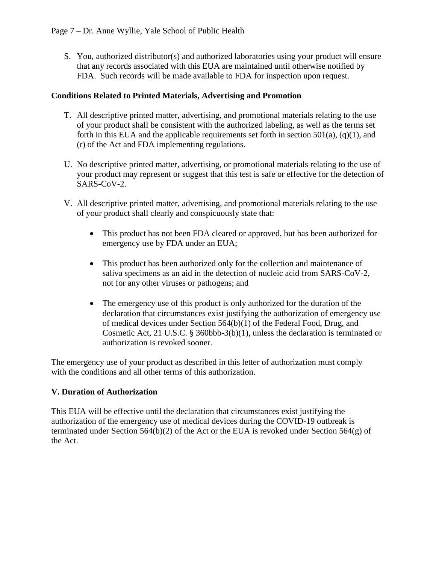S. You, authorized distributor(s) and authorized laboratories using your product will ensure that any records associated with this EUA are maintained until otherwise notified by FDA. Such records will be made available to FDA for inspection upon request.

### **Conditions Related to Printed Materials, Advertising and Promotion**

- T. All descriptive printed matter, advertising, and promotional materials relating to the use of your product shall be consistent with the authorized labeling, as well as the terms set forth in this EUA and the applicable requirements set forth in section  $501(a)$ ,  $(q)(1)$ , and (r) of the Act and FDA implementing regulations.
- U. No descriptive printed matter, advertising, or promotional materials relating to the use of your product may represent or suggest that this test is safe or effective for the detection of SARS-CoV-2.
- V. All descriptive printed matter, advertising, and promotional materials relating to the use of your product shall clearly and conspicuously state that:
	- This product has not been FDA cleared or approved, but has been authorized for emergency use by FDA under an EUA;
	- This product has been authorized only for the collection and maintenance of saliva specimens as an aid in the detection of nucleic acid from SARS-CoV-2, not for any other viruses or pathogens; and
	- The emergency use of this product is only authorized for the duration of the declaration that circumstances exist justifying the authorization of emergency use of medical devices under Section 564(b)(1) of the Federal Food, Drug, and Cosmetic Act, 21 U.S.C. § 360bbb-3(b)(1), unless the declaration is terminated or authorization is revoked sooner.

The emergency use of your product as described in this letter of authorization must comply with the conditions and all other terms of this authorization.

# **V. Duration of Authorization**

This EUA will be effective until the declaration that circumstances exist justifying the authorization of the emergency use of medical devices during the COVID-19 outbreak is terminated under Section 564(b)(2) of the Act or the EUA is revoked under Section 564(g) of the Act.